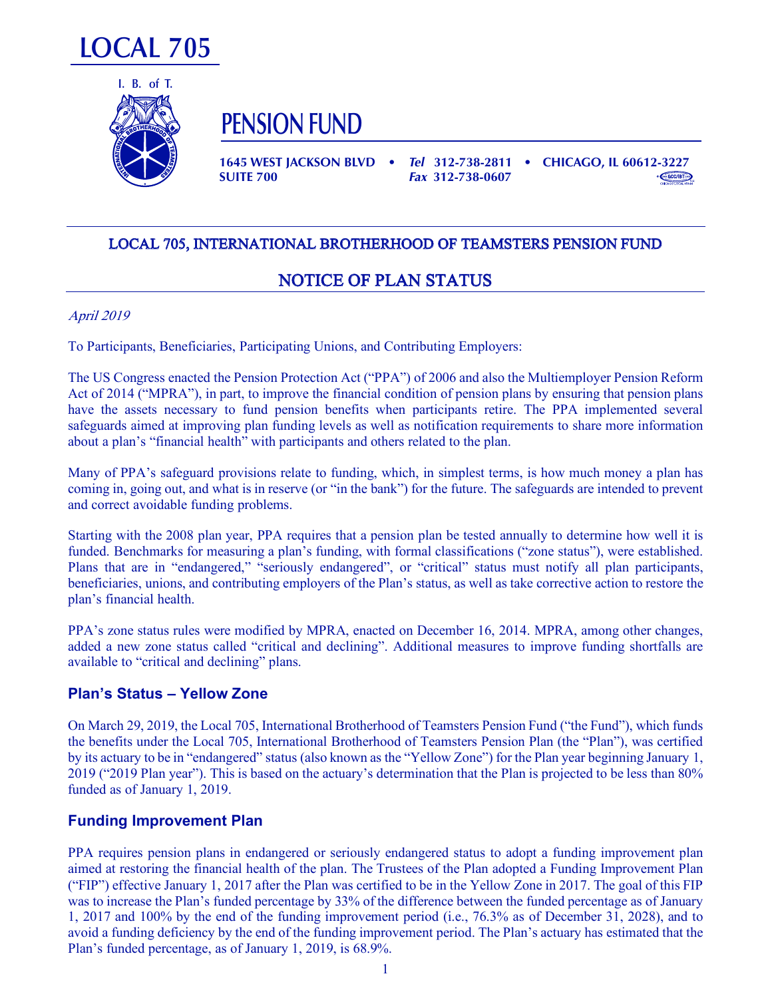



**PENSION FUND**

**1645 WEST JACKSON BLVD •** *Tel* **312-738-2811 • CHICAGO, IL 60612-3227 SUITE 700** *Fax* **312-738-0607**



# LOCAL 705, INTERNATIONAL BROTHERHOOD OF TEAMSTERS PENSION FUND  $L$  705, International Brothermore of teams  $L$  705, International Brothermore of teams  $L$

## NOTICE OF PLAN STATUS

### April 2019 <u>April 2019 - Andrew Stein</u>  $T_{\text{opti}}$  2019

To Participants, Beneficiaries, Participating Unions, and Contributing Employers:

The US Congress enacted the Pension Protection Act ("PPA") of 2006 and also the Multiemployer Pension Reform Act of 2014 ("MPRA"), in part, to improve the financial condition of pension plans by ensuring that pension plans<br>have the reset processes to find pension handle when pertitionate with The PDA involvemental second have the assets necessary to fund pension benefits when participants retire. The PPA implemented several references in financial the plane server in financial health participants and others related to the plane server in f safeguards aimed at improving plan funding levels as well as notification requirements to share more information about a plan's "financial health" with participants and others related to the plan. The OS Congress enacted the retiston riotection Act ( $\mathbf{r}$ r A  $\mathbf{r}$  of 2000 and also the Muttlemproyer retiston Neform

Many of PPA's safeguard provisions relate to funding, which, in simplest terms, is how much money a plan has coming in, going out, and what is in reserve (or "in the bank") for the future. The safeguards are intended to prevent and correct avoidable funding problems.  $\alpha$  and  $\alpha$  is  $\alpha$  and  $\alpha$  and  $\alpha$  and  $\alpha$  is  $\alpha$  and  $\alpha$  is  $\alpha$  and  $\alpha$  is  $\alpha$  and  $\alpha$  is  $\alpha$  and  $\alpha$  is  $\alpha$  and  $\alpha$  is  $\alpha$  and  $\alpha$  is  $\alpha$  and  $\alpha$  is  $\alpha$  and  $\alpha$  is  $\alpha$  and  $\alpha$  is  $\alpha$  and  $\alpha$  is

Starting with the 2008 plan year, PPA requires that a pension plan be tested annually to determine how well it is stating with the 2008 plan year, FFA requires that a pension plan be tested annually to determine now went it is<br>funded. Benchmarks for measuring a plan's funding, with formal classifications ("zone status"), were establis runded. Benchmarks for measuring a pian's funding, with formal classifications (20th status), were established.<br>Plans that are in "endangered," "seriously endangered", or "critical" status must notify all plan participants beneficiaries, unions, and contributing employers of the Plan's status, as well as take corrective action to restore the plan's financial health.  $\frac{1}{2}$  final financial health. pian's financial nearm.

PPA's zone status rules were modified by MPRA, enacted on December 16, 2014. MPRA, among other changes, added a new zone status called "critical and declining". Additional measures to improve funding shortfalls are available to "critical and declining" plans. FFA 8 ZONE Status rules were mounted by

#### **Plan's Status – Yellow Zone**  $\Gamma$ Idii 3 Julius – Tellow 2019, International Brotherhood of Teamsters Pension Fund ("the Fund"), which funds ("the Funds"), which funds ("the Fund"), which funds ("the Fund"), which funds ("the Fund"), which funds ("the

On March 29, 2019, the Local 705, International Brotherhood of Teamsters Pension Fund ("the Fund"), which funds the benefits under the Local 705, International Brotherhood of Teamsters Pension Plan (the "Plan"), was certified by its actuary to be in "endangered" status (also known as the "Yellow Zone") for the Plan year beginning January 1, 2010. (2010) If 2019 ("2019 Plan year"). This is based on the actuary's determination that the Plan is projected to be less than 80% funded as of January 1, 2019. by its actuary  $29, 2015,$  the Local 705, international Dividendio of Teamsters Fension Director  $\eta$  and  $\eta$ , which funds

## **Punding Improvement Plans in endangered or seriously endangered or seriously endangered status to adopt a fundi**

PPA requires pension plans in endangered or seriously endangered status to adopt a funding improvement plan aimed at restoring the financial health of the plan. The Trustees of the Plan adopted a Funding Improvement Plan was to increase the Plan's funded percentage by 33% of the difference between the funded percentage as of January ("FIP") effective January 1, 2017 after the Plan was certified to be in the Yellow Zone in 2017. The goal of this FIP was to increase the Plan's funded percentage by 33% of the difference between the funded percentage as of January<br> $\frac{1}{2}$ ,  $\frac{2017}{2000}$ ,  $\frac{1}{2}$ ,  $\frac{1000}{24}$ ,  $\frac{1}{2}$ 1, 2017 and 100% by the end of the funding improvement period (i.e.,  $76.3\%$  as of December 31, 2028), and to  $\frac{1}{100}$ avoid a funding deficiency by the end of the funding improvement period. The Plan's actuary has estimated that the Plan's funded percentage, as of January 1, 2019, is 68.9%. FIP IS Equites pension plans in endangered or seriously endangered status to adopt a funding improvement plan  $\mathbb{R}^n$ .